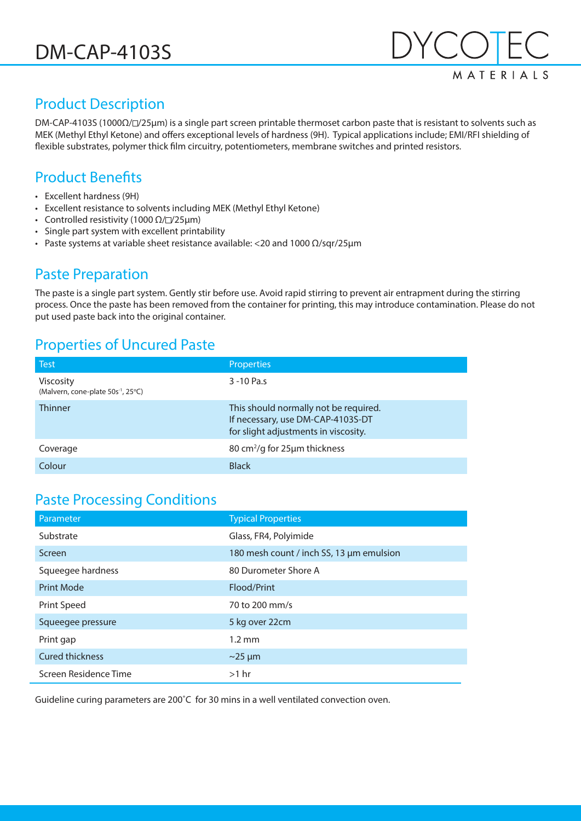

# Product Description

DM-CAP-4103S (1000Ω/ /z25µm) is a single part screen printable thermoset carbon paste that is resistant to solvents such as MEK (Methyl Ethyl Ketone) and offers exceptional levels of hardness (9H). Typical applications include; EMI/RFI shielding of flexible substrates, polymer thick film circuitry, potentiometers, membrane switches and printed resistors.

### Product Benefits

- Excellent hardness (9H)
- Excellent resistance to solvents including MEK (Methyl Ethyl Ketone)
- Controlled resistivity (1000  $\Omega$ / $\square$ /25µm)
- Single part system with excellent printability
- Paste systems at variable sheet resistance available: <20 and 1000  $\Omega$ /sqr/25 μm

#### Paste Preparation

The paste is a single part system. Gently stir before use. Avoid rapid stirring to prevent air entrapment during the stirring process. Once the paste has been removed from the container for printing, this may introduce contamination. Please do not put used paste back into the original container.

#### Properties of Uncured Paste

| <b>Test</b>                                                        | <b>Properties</b>                                                                                                  |
|--------------------------------------------------------------------|--------------------------------------------------------------------------------------------------------------------|
| <b>Viscosity</b><br>(Malvern, cone-plate 50s <sup>-1</sup> , 25°C) | 3-10 Pa.s                                                                                                          |
| <b>Thinner</b>                                                     | This should normally not be required.<br>If necessary, use DM-CAP-4103S-DT<br>for slight adjustments in viscosity. |
| Coverage                                                           | 80 cm <sup>2</sup> /g for 25µm thickness                                                                           |
| Colour                                                             | <b>Black</b>                                                                                                       |

### Paste Processing Conditions

| Parameter              | <b>Typical Properties</b>                |
|------------------------|------------------------------------------|
| Substrate              | Glass, FR4, Polyimide                    |
| Screen                 | 180 mesh count / inch SS, 13 µm emulsion |
| Squeegee hardness      | 80 Durometer Shore A                     |
| <b>Print Mode</b>      | Flood/Print                              |
| Print Speed            | 70 to 200 mm/s                           |
| Squeegee pressure      | 5 kg over 22cm                           |
| Print gap              | $1.2 \text{ mm}$                         |
| <b>Cured thickness</b> | $\sim$ 25 µm                             |
| Screen Residence Time  | $>1$ hr                                  |

Guideline curing parameters are 200˚C for 30 mins in a well ventilated convection oven.